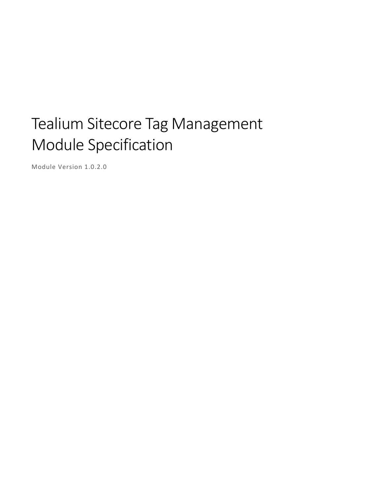# Tealium Sitecore Tag Management Module Specification

Module Version 1.0.2.0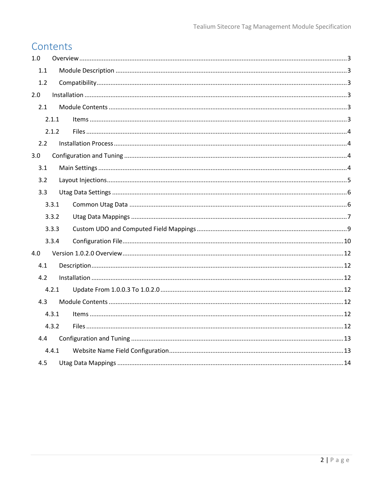# Contents

| 1.0 |       |  |
|-----|-------|--|
| 1.1 |       |  |
| 1.2 |       |  |
| 2.0 |       |  |
| 2.1 |       |  |
|     | 2.1.1 |  |
|     | 2.1.2 |  |
| 2.2 |       |  |
| 3.0 |       |  |
| 3.1 |       |  |
| 3.2 |       |  |
| 3.3 |       |  |
|     | 3.3.1 |  |
|     | 3.3.2 |  |
|     | 3.3.3 |  |
|     | 3.3.4 |  |
| 4.0 |       |  |
| 4.1 |       |  |
| 4.2 |       |  |
|     | 4.2.1 |  |
| 4.3 |       |  |
|     | 4.3.1 |  |
|     | 4.3.2 |  |
| 4.4 |       |  |
|     | 4.4.1 |  |
| 4.5 |       |  |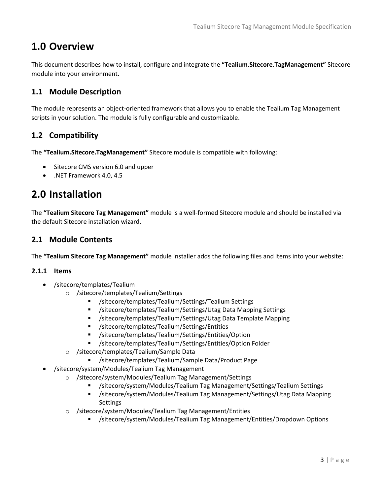# <span id="page-2-0"></span>**1.0 Overview**

This document describes how to install, configure and integrate the **"Tealium.Sitecore.TagManagement"** Sitecore module into your environment.

# <span id="page-2-1"></span>**1.1 Module Description**

The module represents an object-oriented framework that allows you to enable the Tealium Tag Management scripts in your solution. The module is fully configurable and customizable.

# <span id="page-2-2"></span>**1.2 Compatibility**

The **"Tealium.Sitecore.TagManagement"** Sitecore module is compatible with following:

- Sitecore CMS version 6.0 and upper
- .NET Framework 4.0, 4.5

# <span id="page-2-3"></span>**2.0 Installation**

The **"Tealium Sitecore Tag Management"** module is a well-formed Sitecore module and should be installed via the default Sitecore installation wizard.

# <span id="page-2-4"></span>**2.1 Module Contents**

The **"Tealium Sitecore Tag Management"** module installer adds the following files and items into your website:

#### <span id="page-2-5"></span>**2.1.1 Items**

- /sitecore/templates/Tealium
	- o /sitecore/templates/Tealium/Settings
		- /sitecore/templates/Tealium/Settings/Tealium Settings
		- /sitecore/templates/Tealium/Settings/Utag Data Mapping Settings
		- /sitecore/templates/Tealium/Settings/Utag Data Template Mapping
		- /sitecore/templates/Tealium/Settings/Entities
		- /sitecore/templates/Tealium/Settings/Entities/Option
		- /sitecore/templates/Tealium/Settings/Entities/Option Folder
	- o /sitecore/templates/Tealium/Sample Data
		- /sitecore/templates/Tealium/Sample Data/Product Page
	- /sitecore/system/Modules/Tealium Tag Management
		- o /sitecore/system/Modules/Tealium Tag Management/Settings
			- /sitecore/system/Modules/Tealium Tag Management/Settings/Tealium Settings
			- /sitecore/system/Modules/Tealium Tag Management/Settings/Utag Data Mapping Settings
		- o /sitecore/system/Modules/Tealium Tag Management/Entities
			- /sitecore/system/Modules/Tealium Tag Management/Entities/Dropdown Options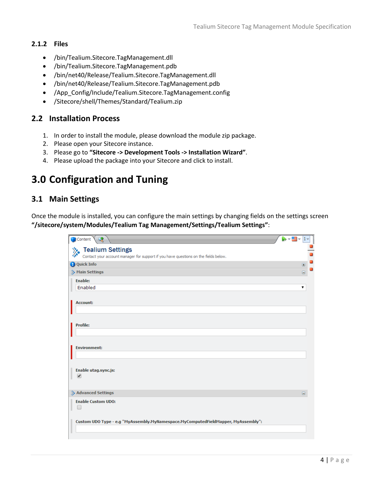### <span id="page-3-0"></span>**2.1.2 Files**

- /bin/Tealium.Sitecore.TagManagement.dll
- /bin/Tealium.Sitecore.TagManagement.pdb
- /bin/net40/Release/Tealium.Sitecore.TagManagement.dll
- /bin/net40/Release/Tealium.Sitecore.TagManagement.pdb
- /App\_Config/Include/Tealium.Sitecore.TagManagement.config
- /Sitecore/shell/Themes/Standard/Tealium.zip

## <span id="page-3-1"></span>**2.2 Installation Process**

- 1. In order to install the module, please download the module zip package.
- 2. Please open your Sitecore instance.
- 3. Please go to **"Sitecore -> Development Tools -> Installation Wizard"**.
- 4. Please upload the package into your Sitecore and click to install.

# <span id="page-3-2"></span>**3.0 Configuration and Tuning**

## <span id="page-3-3"></span>**3.1 Main Settings**

Once the module is installed, you can configure the main settings by changing fields on the settings screen **"/sitecore/system/Modules/Tealium Tag Management/Settings/Tealium Settings"**:

| Content <sup>\</sup><br>$\mathbb{R}$                                                                                  | M∽ Bly<br>$ 1 -$                                                             |
|-----------------------------------------------------------------------------------------------------------------------|------------------------------------------------------------------------------|
| <b>Tealium Settings</b><br>v.d<br>Contact your account manager for support if you have questions on the fields below. | o                                                                            |
| <b>Q</b> Quick Info                                                                                                   | □<br>$\qquad \qquad \Box$                                                    |
| <b>A</b> Main Settings                                                                                                | –<br>$\qquad \qquad \qquad \qquad \qquad \qquad \qquad \qquad \qquad \qquad$ |
| <b>Enable:</b>                                                                                                        |                                                                              |
| Enabled                                                                                                               | 7                                                                            |
| Account:                                                                                                              |                                                                              |
| <b>Profile:</b>                                                                                                       |                                                                              |
|                                                                                                                       |                                                                              |
|                                                                                                                       |                                                                              |
| <b>Environment:</b>                                                                                                   |                                                                              |
|                                                                                                                       |                                                                              |
| Enable utag.sync.js:<br>✔                                                                                             |                                                                              |
| Advanced Settings                                                                                                     | $\qquad \qquad \blacksquare$                                                 |
| <b>Enable Custom UDO:</b>                                                                                             |                                                                              |
| Custom UDO Type - e.g "MyAssembly.MyNamespace.MyComputedFieldMapper, MyAssembly":                                     |                                                                              |
|                                                                                                                       |                                                                              |
|                                                                                                                       |                                                                              |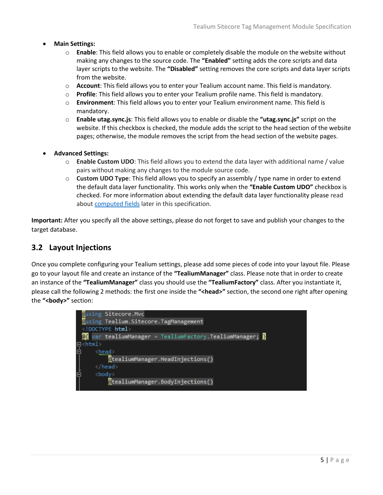#### **Main Settings:**

- o **Enable**: This field allows you to enable or completely disable the module on the website without making any changes to the source code. The **"Enabled"** setting adds the core scripts and data layer scripts to the website. The **"Disabled"** setting removes the core scripts and data layer scripts from the website.
- o **Account**: This field allows you to enter your Tealium account name. This field is mandatory.
- o **Profile**: This field allows you to enter your Tealium profile name. This field is mandatory.
- o **Environment**: This field allows you to enter your Tealium environment name. This field is mandatory.
- o **Enable utag.sync.js**: This field allows you to enable or disable the **"utag.sync.js"** script on the website. If this checkbox is checked, the module adds the script to the head section of the website pages; otherwise, the module removes the script from the head section of the website pages.

#### **Advanced Settings:**

- o **Enable Custom UDO**: This field allows you to extend the data layer with additional name / value pairs without making any changes to the module source code.
- o **Custom UDO Type**: This field allows you to specify an assembly / type name in order to extend the default data layer functionality. This works only when the **"Enable Custom UDO"** checkbox is checked. For more information about extending the default data layer functionality please read about [computed fields](#page-8-0) later in this specification.

**Important:** After you specify all the above settings, please do not forget to save and publish your changes to the target database.

# <span id="page-4-0"></span>**3.2 Layout Injections**

Once you complete configuring your Tealium settings, please add some pieces of code into your layout file. Please go to your layout file and create an instance of the **"TealiumManager"** class. Please note that in order to create an instance of the **"TealiumManager"** class you should use the **"TealiumFactory"** class. After you instantiate it, please call the following 2 methods: the first one inside the **"<head>"** section, the second one right after opening the **"<body>"** section:

|   | <b>Qusing Sitecore.Mvc</b>              |
|---|-----------------------------------------|
|   | ausing Tealium. Sitecore. TagManagement |
|   | html                                    |
|   |                                         |
|   | $\Box$ <html></html>                    |
| 岀 | $<$ head $>$                            |
|   | @tealiumManager.HeadInjections()        |
|   |                                         |
| Ė | <body></body>                           |
|   | @tealiumManager.BodyInjections()        |
|   |                                         |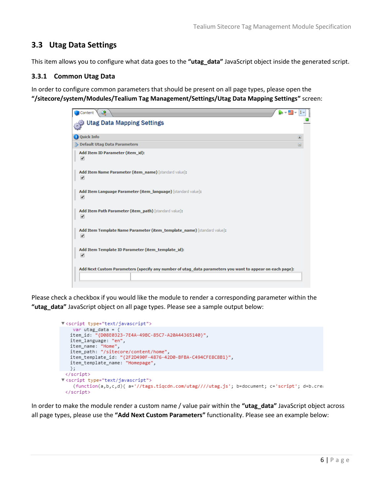# <span id="page-5-0"></span>**3.3 Utag Data Settings**

This item allows you to configure what data goes to the **"utag\_data"** JavaScript object inside the generated script.

#### <span id="page-5-1"></span>**3.3.1 Common Utag Data**

In order to configure common parameters that should be present on all page types, please open the **"/sitecore/system/Modules/Tealium Tag Management/Settings/Utag Data Mapping Settings"** screen:

| ා<br>Content                                                                                             |   |
|----------------------------------------------------------------------------------------------------------|---|
| <b>Utag Data Mapping Settings</b>                                                                        |   |
| <b>Q</b> Quick Info                                                                                      | 田 |
| Default Utag Data Parameters                                                                             | Θ |
| Add Item ID Parameter (item_id):<br>✔                                                                    |   |
| Add Item Name Parameter (item_name) [standard value]:<br>✔                                               |   |
| Add Item Language Parameter (item_language) [standard value]:<br>✔                                       |   |
| Add Item Path Parameter (item path) [standard value]:<br>✔                                               |   |
| Add Item Template Name Parameter (item_template_name) [standard value]:<br>✔                             |   |
| Add Item Template ID Parameter (item_template_id):<br>$\blacktriangledown$                               |   |
| Add Next Custom Parameters (specify any number of utag_data parameters you want to appear on each page): |   |

Please check a checkbox if you would like the module to render a corresponding parameter within the **"utag\_data"** JavaScript object on all page types. Please see a sample output below:

```
▼<script type="text/javascript">
   var utag_data = \{item_id: "{D08E0323-7E4A-49BC-85C7-A20A44365140}",
   item_language: "en",
   item_name: "Home",<br>item_path: "/sitecore/content/home",
   item_template_id: "{2F2D490F-4876-42D0-BFBA-C494CFE8C8B1}",
   item_template_name: "Homepage",
  \cdot ;
 </script>
V<script type="text/javascript">
    (function(a,b,c,d){ a='//tags.tiqcdn.com/utag////utag.js'; b=document; c='script'; d=b.cre;
 </script>
```
In order to make the module render a custom name / value pair within the **"utag\_data"** JavaScript object across all page types, please use the **"Add Next Custom Parameters"** functionality. Please see an example below: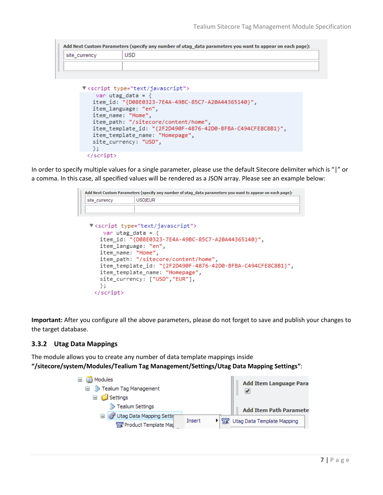```
Add Next Custom Parameters (specify any number of utag_data parameters you want to appear on each page):
                         USD
site_currency
```

```
V<script type="text/javascript">
   var utag data = \{item_id: "{D08E0323-7E4A-49BC-85C7-A20A44365140}",
   item_language: "en",
   item_name: "Home",
   item_path: "/sitecore/content/home",
   item_template_id: "{2F2D490F-4876-42D0-BFBA-C494CFE8C8B1}",
   item_template_name: "Homepage",
   site_currency: "USD",
  \};
 </script>
```
In order to specify multiple values for a single parameter, please use the default Sitecore delimiter which is "|" or a comma. In this case, all specified values will be rendered as a JSON array. Please see an example below:

```
Add Next Custom Parameters (specify any number of utag_data parameters you want to appear on each page):
site_currency
                 USDIEUR
 V<script type="text/javascript">
      var utag data = \{item id: "{D08E0323-7E4A-49BC-85C7-A20A44365140}",
     item language: "en",
     item name: "Home",
     item path: "/sitecore/content/home",
     item_template_id: "{2F2D490F-4876-42D0-BFBA-C494CFE8C8B1}",
     item_template_name: "Homepage",
     site_currency: ["USD","EUR"],
    \};
   </script>
```
**Important:** After you configure all the above parameters, please do not forget to save and publish your changes to the target database.

#### <span id="page-6-0"></span>**3.3.2 Utag Data Mappings**

The module allows you to create any number of data template mappings inside

**"/sitecore/system/Modules/Tealium Tag Management/Settings/Utag Data Mapping Settings"**:

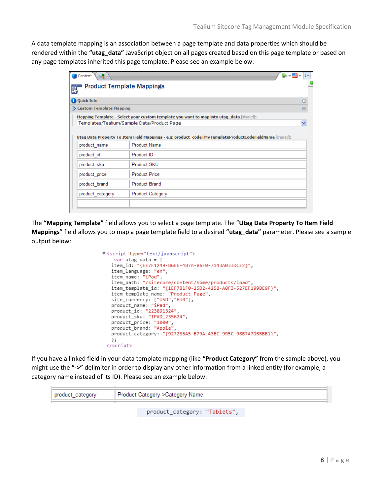A data template mapping is an association between a page template and data properties which should be rendered within the **"utag\_data"** JavaScript object on all pages created based on this page template or based on any page templates inherited this page template. Please see an example below:

| 萝<br>Content<br>$\overline{\phantom{a}}$                                                                 |                                                                                         |           |  |
|----------------------------------------------------------------------------------------------------------|-----------------------------------------------------------------------------------------|-----------|--|
| <b>Product Template Mappings</b>                                                                         |                                                                                         |           |  |
| <b>Q</b> Quick Info                                                                                      |                                                                                         | $\square$ |  |
| Custom Template Mapping<br>Θ                                                                             |                                                                                         |           |  |
|                                                                                                          | Mapping Template - Select your custom template you want to map into utag data [shared]: |           |  |
| Templates/Tealium/Sample Data/Product Page                                                               |                                                                                         |           |  |
| Utag Data Property To Item Field Mappings - e.g: product_code   MyTemplateProductCodeFieldName [shared]: |                                                                                         |           |  |
| <b>Product Name</b><br>product name                                                                      |                                                                                         |           |  |
| product id                                                                                               | Product ID                                                                              |           |  |
| product sku                                                                                              | Product SKU                                                                             |           |  |
| product price                                                                                            | <b>Product Price</b>                                                                    |           |  |
| product brand                                                                                            | <b>Product Brand</b>                                                                    |           |  |
| product category                                                                                         | Product Category                                                                        |           |  |
|                                                                                                          |                                                                                         |           |  |

The **"Mapping Template"** field allows you to select a page template. The "**Utag Data Property To Item Field Mappings**" field allows you to map a page template field to a desired **"utag\_data"** parameter. Please see a sample output below:

```
▼<script type="text/javascript">
   var utag_data = {
   item_id: "{EE7F1249-86EE-4B7A-86F0-7143A033DCE2}",
   item_language: "en",
   item_name: "iPad",
   item_path: "/sitecore/content/home/products/ipad",
   item_template_id: "{1EF7B1F0-25D2-425B-A8F3-527EF199BE9F}",
   item_template_name: "Product Page",
   site_currency: ["USD","EUR"],
   product_name: "iPad",
   product_id: "223891324"
   product_sku: "IPAD_235624",
   product_price: "1000",
   product_brand: "Apple",
   product_category: "{927285A5-B79A-43BC-995C-98B7A7DBBBB1}",
   \};
 </script>
```
If you have a linked field in your data template mapping (like **"Product Category"** from the sample above), you might use the **"->"** delimiter in order to display any other information from a linked entity (for example, a category name instead of its ID). Please see an example below:

| product_category | Product Category->Category Name |  |  |  |  |
|------------------|---------------------------------|--|--|--|--|
|                  | product_category: "Tablets",    |  |  |  |  |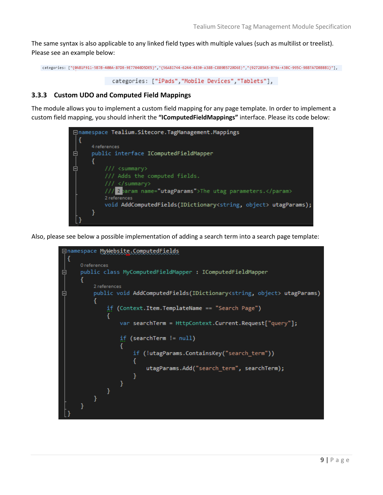The same syntax is also applicable to any linked field types with multiple values (such as multilist or treelist). Please see an example below:

```
categories: ["{0AB1F911-5B7B-400A-87DB-9E77040D5DE5}","{56A81744-6244-4830-A38B-C889B5720D6E}","{927285A5-B79A-43BC-995C-98B7A7DBBBB1}"],
```

```
categories: ["iPads","Mobile Devices","Tablets"],
```
#### <span id="page-8-0"></span>**3.3.3 Custom UDO and Computed Field Mappings**

The module allows you to implement a custom field mapping for any page template. In order to implement a custom field mapping, you should inherit the **"IComputedFieldMappings"** interface. Please its code below:



Also, please see below a possible implementation of adding a search term into a search page template:

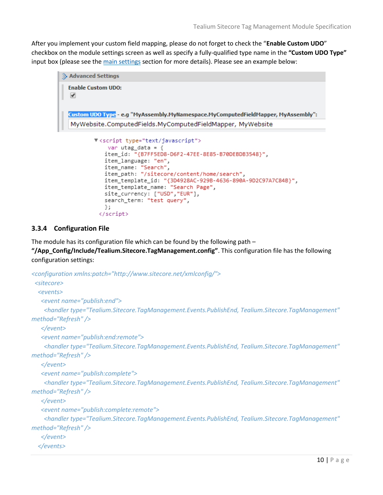After you implement your custom field mapping, please do not forget to check the "**Enable Custom UDO**" checkbox on the module settings screen as well as specify a fully-qualified type name in the **"Custom UDO Type"** input box (please see the [main settings](#page-3-3) section for more details). Please see an example below:

```
Advanced Settings
 Enable Custom UDO:
  V
 Custom UDO Type - e.g "MyAssembly.MyNamespace.MyComputedFieldMapper, MyAssembly":
  MyWebsite.ComputedFields.MyComputedFieldMapper, MyWebsite
          V<script type="text/javascript">
              var utag_data = {
             item_id: "{B7FF5ED8-D6F2-47EE-8E85-B70DEBDB3548}",
             item_language: "en",
             item_name: "Search",
             item_path: "/sitecore/content/home/search",
             item_template_id: "{3D4928AC-929B-4636-890A-9D2C97A7C84B}",
             item_template_name: "Search Page",
             site_currency: ["USD","EUR"],
             search_term: "test query",
             35
           </script>
```
## <span id="page-9-0"></span>**3.3.4 Configuration File**

The module has its configuration file which can be found by the following path  $-$ 

**"/App\_Config/Include/Tealium.Sitecore.TagManagement.config"**. This configuration file has the following configuration settings:

```
<configuration xmlns:patch="http://www.sitecore.net/xmlconfig/">
  <sitecore>
   <events>
    <event name="publish:end">
     <handler type="Tealium.Sitecore.TagManagement.Events.PublishEnd, Tealium.Sitecore.TagManagement" 
method="Refresh" />
    </event>
    <event name="publish:end:remote">
     <handler type="Tealium.Sitecore.TagManagement.Events.PublishEnd, Tealium.Sitecore.TagManagement" 
method="Refresh" />
    </event>
    <event name="publish:complete">
     <handler type="Tealium.Sitecore.TagManagement.Events.PublishEnd, Tealium.Sitecore.TagManagement" 
method="Refresh" />
    </event>
    <event name="publish:complete:remote">
     <handler type="Tealium.Sitecore.TagManagement.Events.PublishEnd, Tealium.Sitecore.TagManagement" 
method="Refresh" />
    </event>
   </events>
```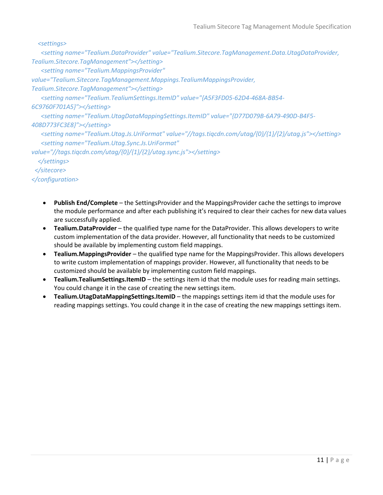#### *<settings>*

 *<setting name="Tealium.DataProvider" value="Tealium.Sitecore.TagManagement.Data.UtagDataProvider, Tealium.Sitecore.TagManagement"></setting>*

 *<setting name="Tealium.MappingsProvider"* 

*value="Tealium.Sitecore.TagManagement.Mappings.TealiumMappingsProvider,* 

*Tealium.Sitecore.TagManagement"></setting>*

 *<setting name="Tealium.TealiumSettings.ItemID" value="{A5F3FD05-62D4-468A-BB54-*

#### *6C9760F701A5}"></setting>*

 *<setting name="Tealium.UtagDataMappingSettings.ItemID" value="{D77D079B-6A79-490D-B4F5-*

#### *408D773FC3E8}"></setting>*

 *<setting name="Tealium.Utag.Js.UriFormat" value="//tags.tiqcdn.com/utag/{0}/{1}/{2}/utag.js"></setting> <setting name="Tealium.Utag.Sync.Js.UriFormat"* 

*value="//tags.tiqcdn.com/utag/{0}/{1}/{2}/utag.sync.js"></setting> </settings>*

# *</sitecore>*

## *</configuration>*

- **Publish End/Complete** the SettingsProvider and the MappingsProvider cache the settings to improve the module performance and after each publishing it's required to clear their caches for new data values are successfully applied.
- **Tealium.DataProvider** the qualified type name for the DataProvider. This allows developers to write custom implementation of the data provider. However, all functionality that needs to be customized should be available by implementing custom field mappings.
- **Tealium.MappingsProvider** the qualified type name for the MappingsProvider. This allows developers to write custom implementation of mappings provider. However, all functionality that needs to be customized should be available by implementing custom field mappings.
- **Tealium.TealiumSettings.ItemID** the settings item id that the module uses for reading main settings. You could change it in the case of creating the new settings item.
- **Tealium.UtagDataMappingSettings.ItemID** the mappings settings item id that the module uses for reading mappings settings. You could change it in the case of creating the new mappings settings item.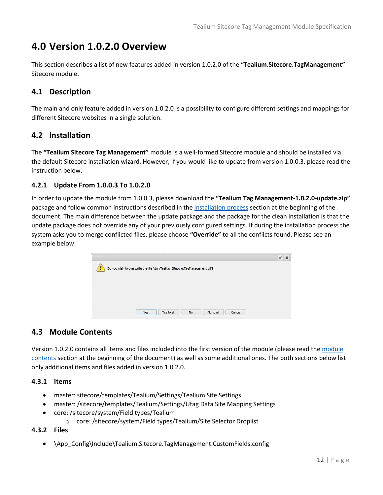# <span id="page-11-0"></span>**4.0 Version 1.0.2.0 Overview**

This section describes a list of new features added in version 1.0.2.0 of the **"Tealium.Sitecore.TagManagement"** Sitecore module.

# <span id="page-11-1"></span>**4.1 Description**

The main and only feature added in version 1.0.2.0 is a possibility to configure different settings and mappings for different Sitecore websites in a single solution.

## <span id="page-11-2"></span>**4.2 Installation**

The **"Tealium Sitecore Tag Management"** module is a well-formed Sitecore module and should be installed via the default Sitecore installation wizard. However, if you would like to update from version 1.0.0.3, please read the instruction below.

#### <span id="page-11-3"></span>**4.2.1 Update From 1.0.0.3 To 1.0.2.0**

In order to update the module from 1.0.0.3, please download the **"Tealium Tag Management-1.0.2.0-update.zip"** package and follow common instructions described in th[e installation process](#page-3-1) section at the beginning of the document. The main difference between the update package and the package for the clean installation is that the update package does not override any of your previously configured settings. If during the installation process the system asks you to merge conflicted files, please choose **"Override"** to all the conflicts found. Please see an example below:

| $\mathbb{E}^n$<br>$\pmb{\times}$ |
|----------------------------------|
|                                  |
|                                  |
|                                  |
|                                  |
|                                  |
|                                  |
|                                  |
|                                  |

## <span id="page-11-4"></span>**4.3 Module Contents**

Version 1.0.2.0 contains all items and files included into the first version of the module (please read th[e module](#page-2-4)  [contents](#page-2-4) section at the beginning of the document) as well as some additional ones. The both sections below list only additional items and files added in version 1.0.2.0.

#### <span id="page-11-5"></span>**4.3.1 Items**

- master: sitecore/templates/Tealium/Settings/Tealium Site Settings
- master: /sitecore/templates/Tealium/Settings/Utag Data Site Mapping Settings
- core: /sitecore/system/Field types/Tealium
	- o core: /sitecore/system/Field types/Tealium/Site Selector Droplist

#### <span id="page-11-6"></span>**4.3.2 Files**

\App\_Config\Include\Tealium.Sitecore.TagManagement.CustomFields.config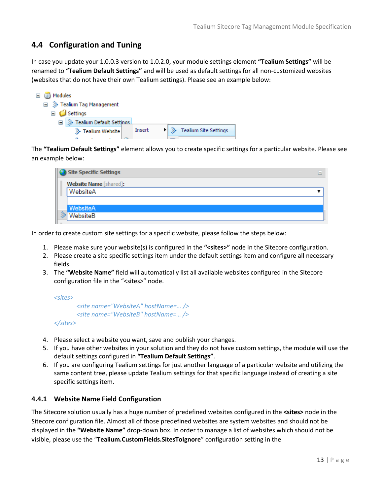# <span id="page-12-0"></span>**4.4 Configuration and Tuning**

In case you update your 1.0.0.3 version to 1.0.2.0, your module settings element **"Tealium Settings"** will be renamed to **"Tealium Default Settings"** and will be used as default settings for all non-customized websites (websites that do not have their own Tealium settings). Please see an example below:

| □ 3 Modules                  |        |                                        |
|------------------------------|--------|----------------------------------------|
| □ ▒ Tealium Tag Management   |        |                                        |
| $\Box$ Settings              |        |                                        |
| □ ※ Tealium Default Settings |        |                                        |
| Tealium Website              | Insert | <b>Example 3</b> Tealium Site Settings |
|                              |        |                                        |

The **"Tealium Default Settings"** element allows you to create specific settings for a particular website. Please see an example below:

| Site Specific Settings        |  |
|-------------------------------|--|
| <b>Website Name</b> [shared]: |  |
| WebsiteA                      |  |
|                               |  |
| WebsiteA                      |  |
| WebsiteB                      |  |

In order to create custom site settings for a specific website, please follow the steps below:

- 1. Please make sure your website(s) is configured in the **"<sites>"** node in the Sitecore configuration.
- 2. Please create a site specific settings item under the default settings item and configure all necessary fields.
- 3. The **"Website Name"** field will automatically list all available websites configured in the Sitecore configuration file in the "<sites>" node.

*<sites> <site name="WebsiteA" hostName=… /> <site name="WebsiteB" hostName=… /> </sites>*

- 4. Please select a website you want, save and publish your changes.
- 5. If you have other websites in your solution and they do not have custom settings, the module will use the default settings configured in **"Tealium Default Settings"**.
- 6. If you are configuring Tealium settings for just another language of a particular website and utilizing the same content tree, please update Tealium settings for that specific language instead of creating a site specific settings item.

#### <span id="page-12-1"></span>**4.4.1 Website Name Field Configuration**

The Sitecore solution usually has a huge number of predefined websites configured in the **<sites>** node in the Sitecore configuration file. Almost all of those predefined websites are system websites and should not be displayed in the **"Website Name"** drop-down box. In order to manage a list of websites which should not be visible, please use the "**Tealium.CustomFields.SitesToIgnore**" configuration setting in the